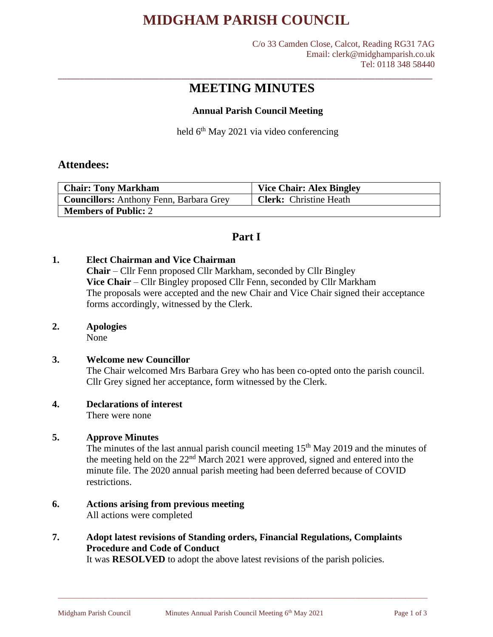# **MIDGHAM PARISH COUNCIL**

C/o 33 Camden Close, Calcot, Reading RG31 7AG Email: clerk@midghamparish.co.uk Tel: 0118 348 58440

# **MEETING MINUTES**

\_\_\_\_\_\_\_\_\_\_\_\_\_\_\_\_\_\_\_\_\_\_\_\_\_\_\_\_\_\_\_\_\_\_\_\_\_\_\_\_\_\_\_\_\_\_\_\_\_\_\_\_\_\_\_\_\_\_\_\_\_\_\_\_\_\_\_\_\_\_\_\_\_\_\_\_\_\_\_\_\_\_\_\_\_

### **Annual Parish Council Meeting**

held 6<sup>th</sup> May 2021 via video conferencing

### **Attendees:**

| <b>Chair: Tony Markham</b>                     | <b>Vice Chair: Alex Bingley</b> |
|------------------------------------------------|---------------------------------|
| <b>Councillors:</b> Anthony Fenn, Barbara Grey | <b>Clerk:</b> Christine Heath   |
| <b>Members of Public: 2</b>                    |                                 |

## **Part I**

### **1. Elect Chairman and Vice Chairman**

**Chair** – Cllr Fenn proposed Cllr Markham, seconded by Cllr Bingley **Vice Chair** – Cllr Bingley proposed Cllr Fenn, seconded by Cllr Markham The proposals were accepted and the new Chair and Vice Chair signed their acceptance forms accordingly, witnessed by the Clerk.

#### **2. Apologies**

None

#### **3. Welcome new Councillor**

The Chair welcomed Mrs Barbara Grey who has been co-opted onto the parish council. Cllr Grey signed her acceptance, form witnessed by the Clerk.

### **4. Declarations of interest**

There were none

### **5. Approve Minutes**

The minutes of the last annual parish council meeting  $15<sup>th</sup>$  May 2019 and the minutes of the meeting held on the 22nd March 2021 were approved, signed and entered into the minute file. The 2020 annual parish meeting had been deferred because of COVID restrictions.

# **6. Actions arising from previous meeting**

All actions were completed

## **7. Adopt latest revisions of Standing orders, Financial Regulations, Complaints Procedure and Code of Conduct**

It was **RESOLVED** to adopt the above latest revisions of the parish policies.

\_\_\_\_\_\_\_\_\_\_\_\_\_\_\_\_\_\_\_\_\_\_\_\_\_\_\_\_\_\_\_\_\_\_\_\_\_\_\_\_\_\_\_\_\_\_\_\_\_\_\_\_\_\_\_\_\_\_\_\_\_\_\_\_\_\_\_\_\_\_\_\_\_\_\_\_\_\_\_\_\_\_\_\_\_\_\_\_\_\_\_\_\_\_\_\_\_\_\_\_\_\_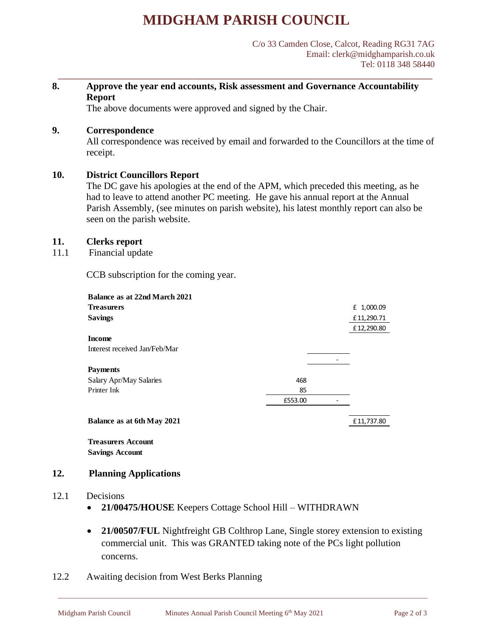# **MIDGHAM PARISH COUNCIL**

\_\_\_\_\_\_\_\_\_\_\_\_\_\_\_\_\_\_\_\_\_\_\_\_\_\_\_\_\_\_\_\_\_\_\_\_\_\_\_\_\_\_\_\_\_\_\_\_\_\_\_\_\_\_\_\_\_\_\_\_\_\_\_\_\_\_\_\_\_\_\_\_\_\_\_\_\_\_\_\_\_\_\_\_\_

### **8. Approve the year end accounts, Risk assessment and Governance Accountability Report**

The above documents were approved and signed by the Chair.

### **9. Correspondence**

All correspondence was received by email and forwarded to the Councillors at the time of receipt.

### **10. District Councillors Report**

The DC gave his apologies at the end of the APM, which preceded this meeting, as he had to leave to attend another PC meeting. He gave his annual report at the Annual Parish Assembly, (see minutes on parish website), his latest monthly report can also be seen on the parish website.

### **11. Clerks report**

11.1 Financial update

CCB subscription for the coming year.

|      | <b>Balance as at 22nd March 2021</b>                                                |         |  |            |  |  |
|------|-------------------------------------------------------------------------------------|---------|--|------------|--|--|
|      | <b>Treasurers</b>                                                                   |         |  | £ 1,000.09 |  |  |
|      | <b>Savings</b>                                                                      |         |  | £11,290.71 |  |  |
|      |                                                                                     |         |  | £12,290.80 |  |  |
|      | <b>Income</b>                                                                       |         |  |            |  |  |
|      | Interest received Jan/Feb/Mar                                                       |         |  |            |  |  |
|      |                                                                                     |         |  |            |  |  |
|      | <b>Payments</b>                                                                     |         |  |            |  |  |
|      | Salary Apr/May Salaries                                                             | 468     |  |            |  |  |
|      | Printer Ink                                                                         | 85      |  |            |  |  |
|      |                                                                                     | £553.00 |  |            |  |  |
|      |                                                                                     |         |  |            |  |  |
|      | Balance as at 6th May 2021                                                          |         |  | £11,737.80 |  |  |
|      |                                                                                     |         |  |            |  |  |
|      | <b>Treasurers Account</b>                                                           |         |  |            |  |  |
|      | <b>Savings Account</b>                                                              |         |  |            |  |  |
| 12.  | <b>Planning Applications</b>                                                        |         |  |            |  |  |
|      |                                                                                     |         |  |            |  |  |
| 12.1 | Decisions                                                                           |         |  |            |  |  |
|      | 21/00475/HOUSE Keepers Cottage School Hill - WITHDRAWN                              |         |  |            |  |  |
|      | 21/00507/FUL Nightfreight GB Colthrop Lane, Single storey extension to<br>$\bullet$ |         |  |            |  |  |
|      |                                                                                     |         |  |            |  |  |
|      | commercial unit. This was GRANTED taking note of the PCs light polluti              |         |  |            |  |  |
|      | concerns.                                                                           |         |  |            |  |  |
|      |                                                                                     |         |  |            |  |  |
| 12.2 | <b>Awaiting decision from West Berks Planning</b>                                   |         |  |            |  |  |

### **12. Planning Applications**

### 12.1 Decisions

- **21/00475/HOUSE** Keepers Cottage School Hill WITHDRAWN
- **21/00507/FUL** Nightfreight GB Colthrop Lane, Single storey extension to existing commercial unit. This was GRANTED taking note of the PCs light pollution concerns.

\_\_\_\_\_\_\_\_\_\_\_\_\_\_\_\_\_\_\_\_\_\_\_\_\_\_\_\_\_\_\_\_\_\_\_\_\_\_\_\_\_\_\_\_\_\_\_\_\_\_\_\_\_\_\_\_\_\_\_\_\_\_\_\_\_\_\_\_\_\_\_\_\_\_\_\_\_\_\_\_\_\_\_\_\_\_\_\_\_\_\_\_\_\_\_\_\_\_\_\_\_\_